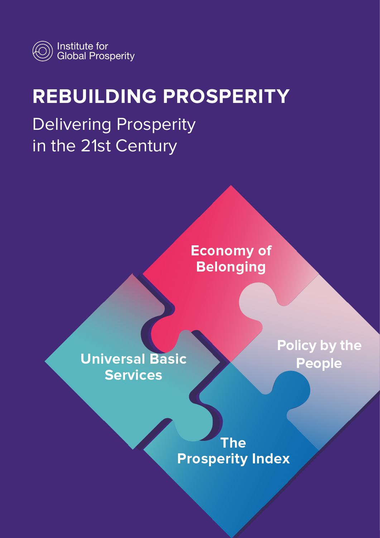

# **REBUILDING PROSPERITY**

Delivering Prosperity in the 21st Century

> **Economy of Belonging**

**Universal Basic Services** 

Policy by the **People** 

**The Prosperity Index**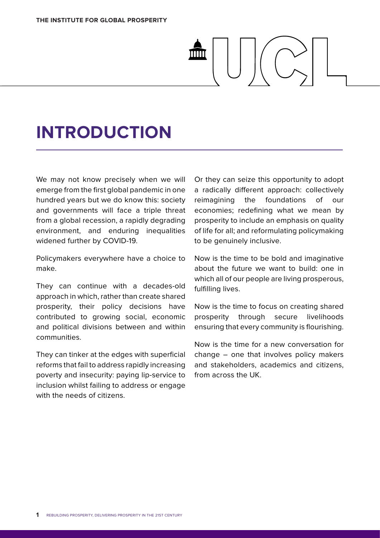# **INTRODUCTION**

We may not know precisely when we will emerge from the first global pandemic in one hundred years but we do know this: society and governments will face a triple threat from a global recession, a rapidly degrading environment, and enduring inequalities widened further by COVID-19.

Policymakers everywhere have a choice to make.

They can continue with a decades-old approach in which, rather than create shared prosperity, their policy decisions have contributed to growing social, economic and political divisions between and within communities.

They can tinker at the edges with superficial reforms that fail to address rapidly increasing poverty and insecurity: paying lip-service to inclusion whilst failing to address or engage with the needs of citizens.

Or they can seize this opportunity to adopt a radically different approach: collectively reimagining the foundations of our economies; redefining what we mean by prosperity to include an emphasis on quality of life for all; and reformulating policymaking to be genuinely inclusive.

Now is the time to be bold and imaginative about the future we want to build: one in which all of our people are living prosperous, fulfilling lives.

Now is the time to focus on creating shared prosperity through secure livelihoods ensuring that every community is flourishing.

Now is the time for a new conversation for change – one that involves policy makers and stakeholders, academics and citizens, from across the UK.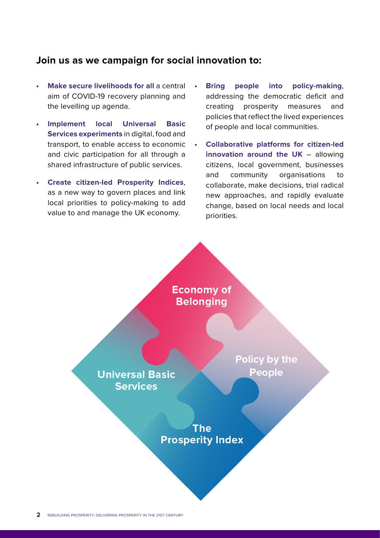#### **Join us as we campaign for social innovation to:**

- **• Make secure livelihoods for all** a central aim of COVID-19 recovery planning and the levelling up agenda.
- **• Implement local Universal Basic Services experiments** in digital, food and transport, to enable access to economic and civic participation for all through a shared infrastructure of public services.
- **• Create citizen-led Prosperity Indices**, as a new way to govern places and link local priorities to policy-making to add value to and manage the UK economy.
- **• Bring people into policy-making**, addressing the democratic deficit and creating prosperity measures and policies that reflect the lived experiences of people and local communities.
- **• Collaborative platforms for citizen-led innovation around the UK** – allowing citizens, local government, businesses and community organisations to collaborate, make decisions, trial radical new approaches, and rapidly evaluate change, based on local needs and local priorities.

**Economy of Belonging** 

**Universal Basic Services** 

Policy by the People

The **Prosperity Index**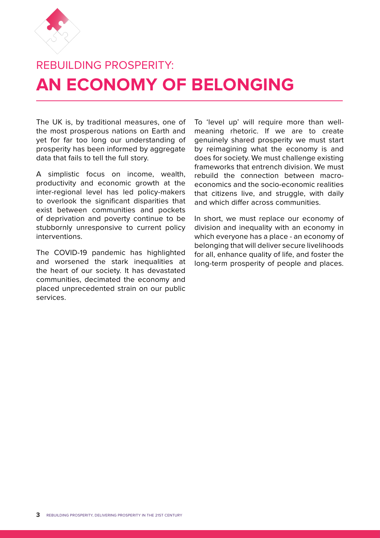

## REBUILDING PROSPERITY: **AN ECONOMY OF BELONGING**

The UK is, by traditional measures, one of the most prosperous nations on Earth and yet for far too long our understanding of prosperity has been informed by aggregate data that fails to tell the full story.

A simplistic focus on income, wealth, productivity and economic growth at the inter-regional level has led policy-makers to overlook the significant disparities that exist between communities and pockets of deprivation and poverty continue to be stubbornly unresponsive to current policy interventions.

The COVID-19 pandemic has highlighted and worsened the stark inequalities at the heart of our society. It has devastated communities, decimated the economy and placed unprecedented strain on our public services.

To 'level up' will require more than wellmeaning rhetoric. If we are to create genuinely shared prosperity we must start by reimagining what the economy is and does for society. We must challenge existing frameworks that entrench division. We must rebuild the connection between macroeconomics and the socio-economic realities that citizens live, and struggle, with daily and which differ across communities.

In short, we must replace our economy of division and inequality with an economy in which everyone has a place - an economy of belonging that will deliver secure livelihoods for all, enhance quality of life, and foster the long-term prosperity of people and places.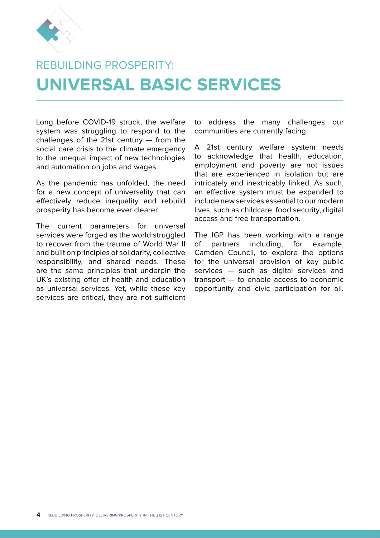

## REBUILDING PROSPERITY: **UNIVERSAL BASIC SERVICES**

Long before COVID-19 struck, the welfare system was struggling to respond to the challenges of the 21st century — from the social care crisis to the climate emergency to the unequal impact of new technologies and automation on jobs and wages.

As the pandemic has unfolded, the need for a new concept of universality that can effectively reduce inequality and rebuild prosperity has become ever clearer.

The current parameters for universal services were forged as the world struggled to recover from the trauma of World War II and built on principles of solidarity, collective responsibility, and shared needs. These are the same principles that underpin the UK's existing offer of health and education as universal services. Yet, while these key services are critical, they are not sufficient to address the many challenges our communities are currently facing.

A 21st century welfare system needs to acknowledge that health, education, employment and poverty are not issues that are experienced in isolation but are intricately and inextricably linked. As such, an effective system must be expanded to include new services essential to our modern lives, such as childcare, food security, digital access and free transportation.

The IGP has been working with a range of partners including, for example, Camden Council, to explore the options for the universal provision of key public services — such as digital services and transport — to enable access to economic opportunity and civic participation for all.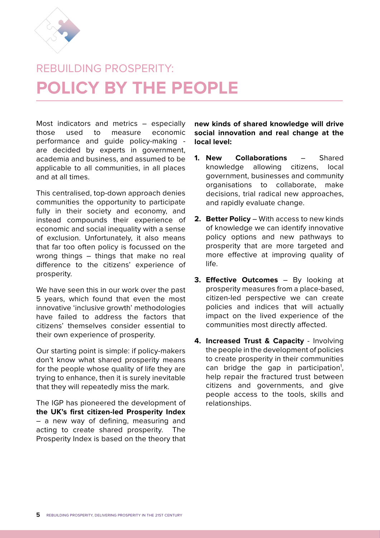

## REBUILDING PROSPERITY **POLICY BY THE PEOPLE**

Most indicators and metrics – especially those used to measure economic performance and guide policy-making are decided by experts in government, academia and business, and assumed to be applicable to all communities, in all places and at all times.

This centralised, top-down approach denies communities the opportunity to participate fully in their society and economy, and instead compounds their experience of economic and social inequality with a sense of exclusion. Unfortunately, it also means that far too often policy is focussed on the wrong things – things that make no real difference to the citizens' experience of prosperity.

We have seen this in our work over the past 5 years, which found that even the most innovative 'inclusive growth' methodologies have failed to address the factors that citizens' themselves consider essential to their own experience of prosperity.

Our starting point is simple: if policy-makers don't know what shared prosperity means for the people whose quality of life they are trying to enhance, then it is surely inevitable that they will repeatedly miss the mark.

The IGP has pioneered the development of **the UK's first citizen-led Prosperity Index** – a new way of defining, measuring and acting to create shared prosperity. The Prosperity Index is based on the theory that

**new kinds of shared knowledge will drive social innovation and real change at the local level:**

- **1. New Collaborations** Shared knowledge allowing citizens, local government, businesses and community organisations to collaborate, make decisions, trial radical new approaches, and rapidly evaluate change.
- **2. Better Policy** With access to new kinds of knowledge we can identify innovative policy options and new pathways to prosperity that are more targeted and more effective at improving quality of life.
- **3. Effective Outcomes** By looking at prosperity measures from a place-based, citizen-led perspective we can create policies and indices that will actually impact on the lived experience of the communities most directly affected.
- **4. Increased Trust & Capacity** Involving the people in the development of policies to create prosperity in their communities can bridge the gap in participation<sup>1</sup>, help repair the fractured trust between citizens and governments, and give people access to the tools, skills and relationships.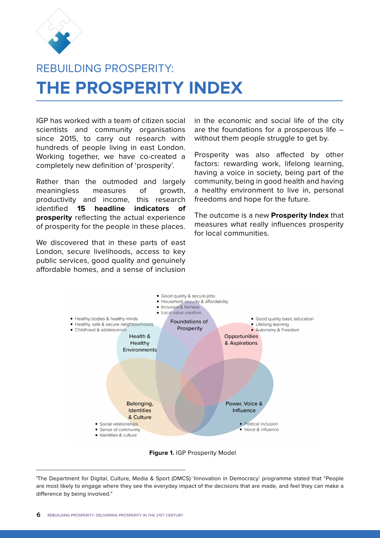

## REBUILDING PROSPERITY **THE PROSPERITY INDEX**

IGP has worked with a team of citizen social scientists and community organisations since 2015, to carry out research with hundreds of people living in east London. Working together, we have co-created a completely new definition of 'prosperity'.

Rather than the outmoded and largely meaningless measures of growth, productivity and income, this research identified **15 headline indicators of prosperity** reflecting the actual experience of prosperity for the people in these places.

We discovered that in these parts of east London, secure livelihoods, access to key public services, good quality and genuinely affordable homes, and a sense of inclusion

in the economic and social life of the city are the foundations for a prosperous life – without them people struggle to get by.

Prosperity was also affected by other factors: rewarding work, lifelong learning, having a voice in society, being part of the community, being in good health and having a healthy environment to live in, personal freedoms and hope for the future.

The outcome is a new **Prosperity Index** that measures what really influences prosperity for local communities.



**Figure 1.** IGP Prosperity Model

<sup>1</sup> The Department for Digital, Culture, Media & Sport (DMCS) 'Innovation in Democracy' programme stated that "People are most likely to engage where they see the everyday impact of the decisions that are made, and feel they can make a difference by being involved."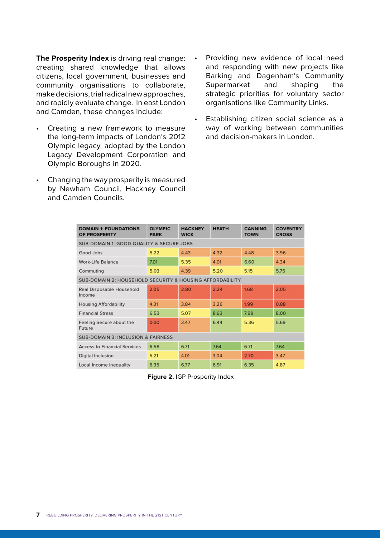**The Prosperity Index** is driving real change: creating shared knowledge that allows citizens, local government, businesses and community organisations to collaborate, make decisions, trial radical new approaches, and rapidly evaluate change. In east London and Camden, these changes include:

- Creating a new framework to measure the long-term impacts of London's 2012 Olympic legacy, adopted by the London Legacy Development Corporation and Olympic Boroughs in 2020.
- Changing the way prosperity is measured by Newham Council, Hackney Council and Camden Councils.
- Providing new evidence of local need and responding with new projects like Barking and Dagenham's Community Supermarket and shaping the strategic priorities for voluntary sector organisations like Community Links.
- Establishing citizen social science as a way of working between communities and decision-makers in London.

| <b>DOMAIN 1: FOUNDATIONS</b><br>OF PROSPERITY            | <b>OLYMPIC</b><br><b>PARK</b> | <b>HACKNEY</b><br><b>WICK</b> | <b>HEATH</b> | <b>CANNING</b><br><b>TOWN</b> | <b>COVENTRY</b><br><b>CROSS</b> |
|----------------------------------------------------------|-------------------------------|-------------------------------|--------------|-------------------------------|---------------------------------|
| <b>SUB-DOMAIN 1: GOOD QUALITY &amp; SECURE JOBS</b>      |                               |                               |              |                               |                                 |
| Good Jobs                                                | 5.22                          | 4.43                          | 4.32         | 4.48                          | 3.96                            |
| <b>Work-Life Balance</b>                                 | 7.01                          | 5.35                          | 4.01         | 6.60                          | 4.34                            |
| Commuting                                                | 5.03                          | 4.39                          | 5.20         | 5.15                          | 5.75                            |
| SUB-DOMAIN 2: HOUSEHOLD SECURITY & HOUSING AFFORDABILITY |                               |                               |              |                               |                                 |
| <b>Real Disposable Household</b><br>Income               | 2.05                          | 2.80                          | 2.24         | 1.68                          | 2.05                            |
| <b>Housing Affordability</b>                             | 4.31                          | 3.84                          | 3.26         | 1.99                          | 0.88                            |
| <b>Financial Stress</b>                                  | 6.53                          | 5.07                          | 8.63         | 7.99                          | 8.00                            |
| Feeling Secure about the<br><b>Future</b>                | 0.00                          | 3.47                          | 6.44         | 5.36                          | 5.69                            |
| <b>SUB-DOMAIN 3: INCLUSION &amp; FAIRNESS</b>            |                               |                               |              |                               |                                 |
| <b>Access to Financial Services</b>                      | 6.58                          | 6.71                          | 7.64         | 6.71                          | 7.64                            |
| <b>Digital Inclusion</b>                                 | 5.21                          | 4.01                          | 3.04         | 2.70                          | 3.47                            |
| Local Income Inequality                                  | 6.35                          | 6.77                          | 6.91         | 6.35                          | 4.87                            |

**Figure 2.** IGP Prosperity Index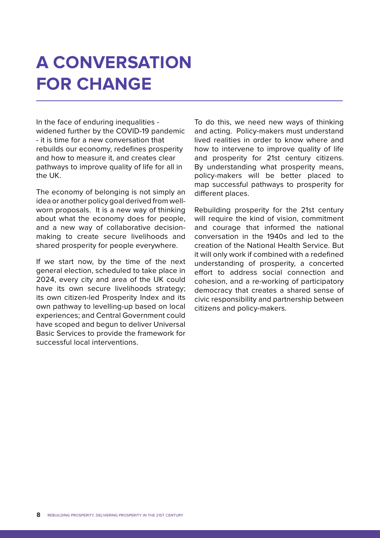# **A CONVERSATION FOR CHANGE**

In the face of enduring inequalities widened further by the COVID-19 pandemic - it is time for a new conversation that rebuilds our economy, redefines prosperity and how to measure it, and creates clear pathways to improve quality of life for all in the UK.

The economy of belonging is not simply an idea or another policy goal derived from wellworn proposals. It is a new way of thinking about what the economy does for people, and a new way of collaborative decisionmaking to create secure livelihoods and shared prosperity for people everywhere.

If we start now, by the time of the next general election, scheduled to take place in 2024, every city and area of the UK could have its own secure livelihoods strategy; its own citizen-led Prosperity Index and its own pathway to levelling-up based on local experiences; and Central Government could have scoped and begun to deliver Universal Basic Services to provide the framework for successful local interventions.

To do this, we need new ways of thinking and acting. Policy-makers must understand lived realities in order to know where and how to intervene to improve quality of life and prosperity for 21st century citizens. By understanding what prosperity means, policy-makers will be better placed to map successful pathways to prosperity for different places.

Rebuilding prosperity for the 21st century will require the kind of vision, commitment and courage that informed the national conversation in the 1940s and led to the creation of the National Health Service. But it will only work if combined with a redefined understanding of prosperity, a concerted effort to address social connection and cohesion, and a re-working of participatory democracy that creates a shared sense of civic responsibility and partnership between citizens and policy-makers.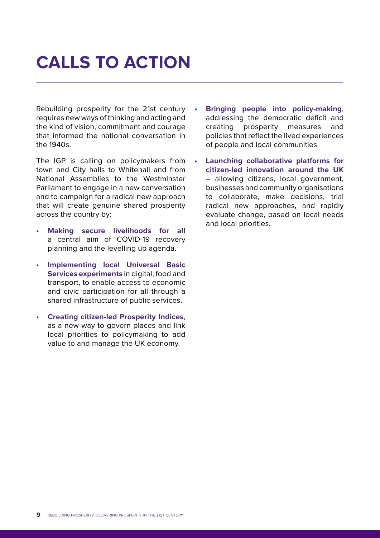# **CALLS TO ACTION**

Rebuilding prosperity for the 21st century requires new ways of thinking and acting and the kind of vision, commitment and courage that informed the national conversation in the 1940s.

The IGP is calling on policymakers from town and City halls to Whitehall and from National Assemblies to the Westminster Parliament to engage in a new conversation and to campaign for a radical new approach that will create genuine shared prosperity across the country by:

- **• Making secure livelihoods for all** a central aim of COVID-19 recovery planning and the levelling up agenda.
- **• Implementing local Universal Basic Services experiments** in digital, food and transport, to enable access to economic and civic participation for all through a shared infrastructure of public services.
- **• Creating citizen-led Prosperity Indices**, as a new way to govern places and link local priorities to policymaking to add value to and manage the UK economy.
- **• Bringing people into policy-making**, addressing the democratic deficit and creating prosperity measures and policies that reflect the lived experiences of people and local communities.
- **• Launching collaborative platforms for citizen-led innovation around the UK** – allowing citizens, local government, businesses and community organisations to collaborate, make decisions, trial radical new approaches, and rapidly evaluate change, based on local needs and local priorities.